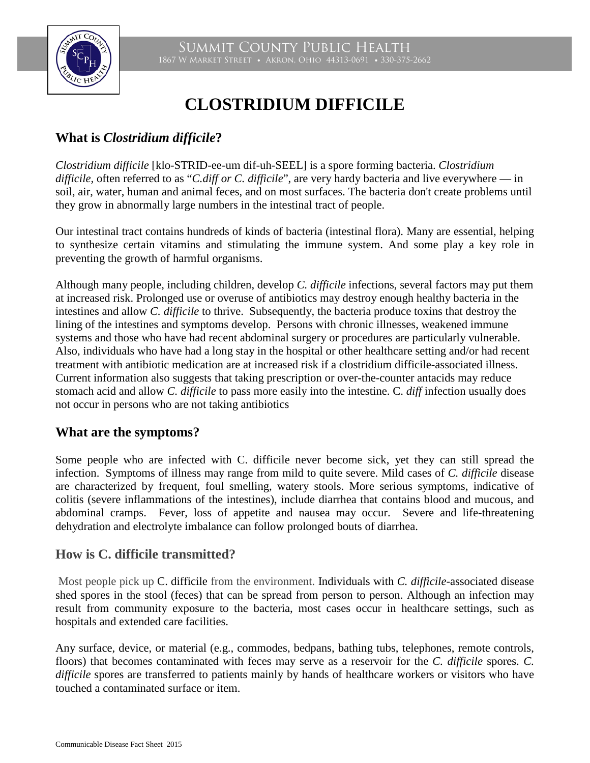



# **CLOSTRIDIUM DIFFICILE**

## **What is** *Clostridium difficile***?**

*Clostridium difficile* [klo-STRID-ee-um dif-uh-SEEL] is a spore forming bacteria. *Clostridium difficile,* often referred to as "*C.diff or C. difficile*", are very hardy bacteria and live everywhere — in soil, air, water, human and animal feces, and on most surfaces. The bacteria don't create problems until they grow in abnormally large numbers in the intestinal tract of people.

Our intestinal tract contains hundreds of kinds of bacteria (intestinal flora). Many are essential, helping to synthesize certain vitamins and stimulating the immune system. And some play a key role in preventing the growth of harmful organisms.

Although many people, including children, develop *C. difficile* infections, several factors may put them at increased risk. Prolonged use or overuse of antibiotics may destroy enough healthy bacteria in the intestines and allow *C. difficile* to thrive. Subsequently, the bacteria produce toxins that destroy the lining of the intestines and symptoms develop. Persons with chronic illnesses, weakened immune systems and those who have had recent abdominal surgery or procedures are particularly vulnerable. Also, individuals who have had a long stay in the hospital or other healthcare setting and/or had recent treatment with antibiotic medication are at increased risk if a clostridium difficile-associated illness. Current information also suggests that taking prescription or over-the-counter antacids may reduce stomach acid and allow *C. difficile* to pass more easily into the intestine. C. *diff* infection usually does not occur in persons who are not taking antibiotics

#### **What are the symptoms?**

Some people who are infected with C. difficile never become sick, yet they can still spread the infection. Symptoms of illness may range from mild to quite severe. Mild cases of *C. difficile* disease are characterized by frequent, foul smelling, watery stools. More serious symptoms, indicative of colitis (severe inflammations of the intestines), include diarrhea that contains blood and mucous, and abdominal cramps. Fever, loss of appetite and nausea may occur. Severe and life-threatening dehydration and electrolyte imbalance can follow prolonged bouts of diarrhea.

#### **How is C. difficile transmitted?**

Most people pick up C. difficile from the environment. Individuals with *C. difficile*-associated disease shed spores in the stool (feces) that can be spread from person to person. Although an infection may result from community exposure to the bacteria, most cases occur in healthcare settings, such as hospitals and extended care facilities.

Any surface, device, or material (e.g., commodes, bedpans, bathing tubs, telephones, remote controls, floors) that becomes contaminated with feces may serve as a reservoir for the *C. difficile* spores. *C. difficile* spores are transferred to patients mainly by hands of healthcare workers or visitors who have touched a contaminated surface or item.